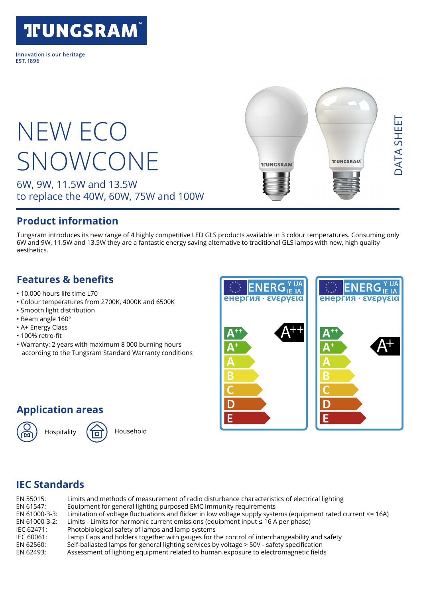### **TFUNGSRAM®**

Innovation is our heritage **FST 1896** 

# NEW ECO SNOWCONE

6W, 9W, 11.5W and 13.5W to replace the 40W, 60W, 75W and 100W

## DATA SHEET DATA SHEET **TUNGSRAM TILINGSRAM**

#### **Product information**

Tungsram introduces its new range of 4 highly competitive LED GLS products available in 3 colour temperatures. Consuming only 6W and 9W, 11.5W and 13.5W they are a fantastic energy saving alternative to traditional GLS lamps with new, high quality aesthetics.

#### **Features & benefits**

- 10.000 hours life time L70
- Colour temperatures from 2700K, 4000K and 6500K
- Smooth light distribution
- Beam angle 160°
- A+ Energy Class
- 100% retro-fit
- Warranty: 2 years with maximum 8 000 burning hours according to the Tungsram Standard Warranty conditions



#### **Application areas**





#### **IEC Standards**

| EN 55015:     | Limits and methods of measurement of radio disturbance characteristics of electrical lighting                 |
|---------------|---------------------------------------------------------------------------------------------------------------|
| EN 61547:     | Equipment for general lighting purposed EMC immunity requirements                                             |
| EN 61000-3-3: | Limitation of voltage fluctuations and flicker in low voltage supply systems (equipment rated current <= 16A) |
| EN 61000-3-2: | Limits - Limits for harmonic current emissions (equipment input $\leq 16$ A per phase)                        |
| IEC 62471:    | Photobiological safety of lamps and lamp systems                                                              |
| IEC 60061:    | Lamp Caps and holders together with gauges for the control of interchangeability and safety                   |
| EN 62560:     | Self-ballasted lamps for general lighting services by voltage > 50V - safety specification                    |
| EN 62493:     | Assessment of lighting equipment related to human exposure to electromagnetic fields                          |
|               |                                                                                                               |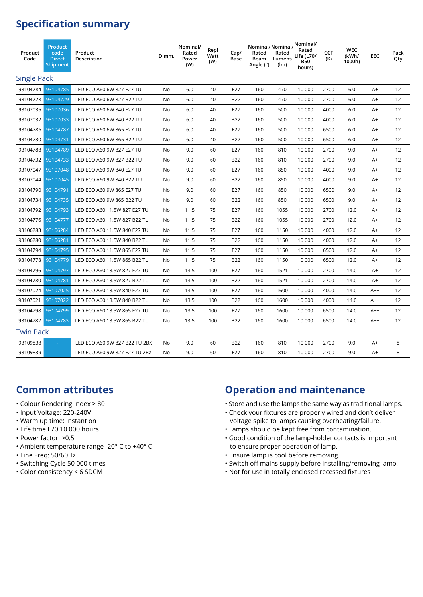#### **Specification summary**

| Product<br>Code    | Product<br>code<br><b>Direct</b><br>Shipment | Product<br>Description        | Dimm.     | Nominal/<br>Rated<br>Power<br>(W) | Repl<br>Watt<br>(W) | Cap/<br>Base | Rated<br>Beam<br>Angle (°) | Rated<br>Lumens<br>(lm) | Nominal/Nominal/Nominal/<br>Life (L70/<br><b>B50</b><br>hours) | CCT<br>(K) | <b>WEC</b><br>(kWh/<br>1000h) | EEC   | Pack<br>Qty |
|--------------------|----------------------------------------------|-------------------------------|-----------|-----------------------------------|---------------------|--------------|----------------------------|-------------------------|----------------------------------------------------------------|------------|-------------------------------|-------|-------------|
| <b>Single Pack</b> |                                              |                               |           |                                   |                     |              |                            |                         |                                                                |            |                               |       |             |
| 93104784           | 93104785                                     | LED ECO A60 6W 827 E27 TU     | No        | 6.0                               | 40                  | E27          | 160                        | 470                     | 10 000                                                         | 2700       | 6.0                           | A+    | 12          |
| 93104728           | 93104729                                     | LED ECO A60 6W 827 B22 TU     | No        | 6.0                               | 40                  | <b>B22</b>   | 160                        | 470                     | 10 000                                                         | 2700       | 6.0                           | A+    | 12          |
| 93107035           | 93107036                                     | LED ECO A60 6W 840 E27 TU     | No        | 6.0                               | 40                  | E27          | 160                        | 500                     | 10 000                                                         | 4000       | 6.0                           | A+    | 12          |
| 93107032           | 93107033                                     | LED ECO A60 6W 840 B22 TU     | No        | 6.0                               | 40                  | <b>B22</b>   | 160                        | 500                     | 10 000                                                         | 4000       | 6.0                           | A+    | 12          |
| 93104786           | 93104787                                     | LED ECO A60 6W 865 E27 TU     | No        | 6.0                               | 40                  | E27          | 160                        | 500                     | 10 000                                                         | 6500       | 6.0                           | $A+$  | 12          |
| 93104730           | 93104731                                     | LED ECO A60 6W 865 B22 TU     | No        | 6.0                               | 40                  | <b>B22</b>   | 160                        | 500                     | 10 000                                                         | 6500       | 6.0                           | A+    | 12          |
| 93104788           | 93104789                                     | LED ECO A60 9W 827 E27 TU     | No        | 9.0                               | 60                  | E27          | 160                        | 810                     | 10 000                                                         | 2700       | 9.0                           | $A+$  | 12          |
| 93104732           | 93104733                                     | LED ECO A60 9W 827 B22 TU     | No        | 9.0                               | 60                  | <b>B22</b>   | 160                        | 810                     | 10 000                                                         | 2700       | 9.0                           | A+    | 12          |
| 93107047           | 93107048                                     | LED ECO A60 9W 840 E27 TU     | No        | 9.0                               | 60                  | E27          | 160                        | 850                     | 10 000                                                         | 4000       | 9.0                           | $A+$  | 12          |
| 93107044           | 93107045                                     | LED ECO A60 9W 840 B22 TU     | No        | 9.0                               | 60                  | <b>B22</b>   | 160                        | 850                     | 10 000                                                         | 4000       | 9.0                           | A+    | 12          |
| 93104790           | 93104791                                     | LED ECO A60 9W 865 E27 TU     | <b>No</b> | 9.0                               | 60                  | E27          | 160                        | 850                     | 10 000                                                         | 6500       | 9.0                           | $A+$  | 12          |
| 93104734           | 93104735                                     | LED ECO A60 9W 865 B22 TU     | No        | 9.0                               | 60                  | <b>B22</b>   | 160                        | 850                     | 10 000                                                         | 6500       | 9.0                           | A+    | 12          |
| 93104792           | 93104793                                     | LED ECO A60 11.5W 827 E27 TU  | No        | 11.5                              | 75                  | E27          | 160                        | 1055                    | 10 000                                                         | 2700       | 12.0                          | A+    | 12          |
| 93104776           | 93104777                                     | LED ECO A60 11.5W 827 B22 TU  | No        | 11.5                              | 75                  | <b>B22</b>   | 160                        | 1055                    | 10 000                                                         | 2700       | 12.0                          | A+    | 12          |
| 93106283           | 93106284                                     | LED ECO A60 11.5W 840 E27 TU  | No        | 11.5                              | 75                  | E27          | 160                        | 1150                    | 10 000                                                         | 4000       | 12.0                          | A+    | 12          |
| 93106280           | 93106281                                     | LED ECO A60 11.5W 840 B22 TU  | No        | 11.5                              | 75                  | <b>B22</b>   | 160                        | 1150                    | 10 000                                                         | 4000       | 12.0                          | $A+$  | 12          |
| 93104794           | 93104795                                     | LED ECO A60 11.5W 865 E27 TU  | No        | 11.5                              | 75                  | E27          | 160                        | 1150                    | 10 000                                                         | 6500       | 12.0                          | $A+$  | 12          |
| 93104778           | 93104779                                     | LED ECO A60 11.5W 865 B22 TU  | No        | 11.5                              | 75                  | <b>B22</b>   | 160                        | 1150                    | 10 000                                                         | 6500       | 12.0                          | A+    | 12          |
| 93104796           | 93104797                                     | LED ECO A60 13.5W 827 E27 TU  | No        | 13.5                              | 100                 | E27          | 160                        | 1521                    | 10 000                                                         | 2700       | 14.0                          | $A+$  | 12          |
| 93104780           | 93104781                                     | LED ECO A60 13.5W 827 B22 TU  | No        | 13.5                              | 100                 | <b>B22</b>   | 160                        | 1521                    | 10 000                                                         | 2700       | 14.0                          | $A+$  | 12          |
| 93107024           | 93107025                                     | LED ECO A60 13.5W 840 E27 TU  | No        | 13.5                              | 100                 | E27          | 160                        | 1600                    | 10 000                                                         | 4000       | 14.0                          | $A++$ | 12          |
| 93107021           | 93107022                                     | LED ECO A60 13.5W 840 B22 TU  | <b>No</b> | 13.5                              | 100                 | <b>B22</b>   | 160                        | 1600                    | 10 000                                                         | 4000       | 14.0                          | $A++$ | 12          |
| 93104798           | 93104799                                     | LED ECO A60 13.5W 865 E27 TU  | No        | 13.5                              | 100                 | E27          | 160                        | 1600                    | 10 000                                                         | 6500       | 14.0                          | $A++$ | 12          |
| 93104782           | 93104783                                     | LED ECO A60 13.5W 865 B22 TU  | No        | 13.5                              | 100                 | <b>B22</b>   | 160                        | 1600                    | 10 000                                                         | 6500       | 14.0                          | $A++$ | 12          |
|                    | <b>Twin Pack</b>                             |                               |           |                                   |                     |              |                            |                         |                                                                |            |                               |       |             |
| 93109838           |                                              | LED ECO A60 9W 827 B22 TU 2BX | <b>No</b> | 9.0                               | 60                  | <b>B22</b>   | 160                        | 810                     | 10 000                                                         | 2700       | 9.0                           | $A+$  | 8           |
| 93109839           |                                              | LED ECO A60 9W 827 E27 TU 2BX | <b>No</b> | 9.0                               | 60                  | E27          | 160                        | 810                     | 10 000                                                         | 2700       | 9.0                           | $A+$  | 8           |
|                    |                                              |                               |           |                                   |                     |              |                            |                         |                                                                |            |                               |       |             |

#### **Common attributes**

- Colour Rendering Index > 80
- Input Voltage: 220-240V
- Warm up time: Instant on
- Life time L70 10 000 hours
- Power factor: >0.5
- Ambient temperature range -20° C to +40° C
- Line Freq: 50/60Hz
- Switching Cycle 50 000 times
- Color consistency < 6 SDCM

#### **Operation and maintenance**

- Store and use the lamps the same way as traditional lamps.
- Check your fixtures are properly wired and don't deliver voltage spike to lamps causing overheating/failure.
- Lamps should be kept free from contamination.
- Good condition of the lamp-holder contacts is important to ensure proper operation of lamp.
- Ensure lamp is cool before removing.
- Switch off mains supply before installing/removing lamp.
- Not for use in totally enclosed recessed fixtures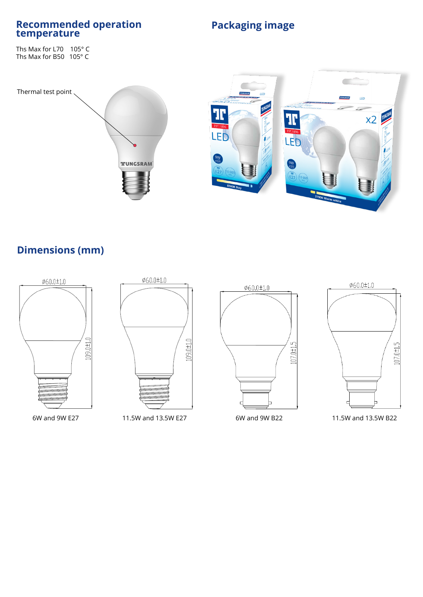### **Recommended operation Fackaging image by EX Packaging image**

Ths Max for L70 105° C Ths Max for B50 105° C

#### Thermal test point





#### **Dimensions (mm)**



6W and 9W E27 11.5W and 13.5W E27 6W and 9W B22 11.5W and 13.5W B22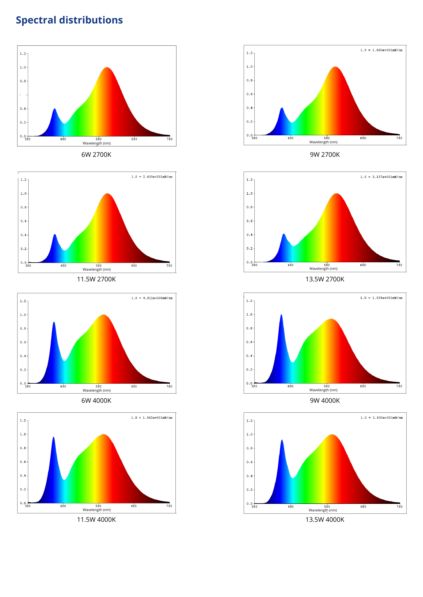### **Spectral distributions**





11.5W 2700K





11.5W 4000K



6W 2700K 9W 2700K



13.5W 2700K



9W 4000K



13.5W 4000K